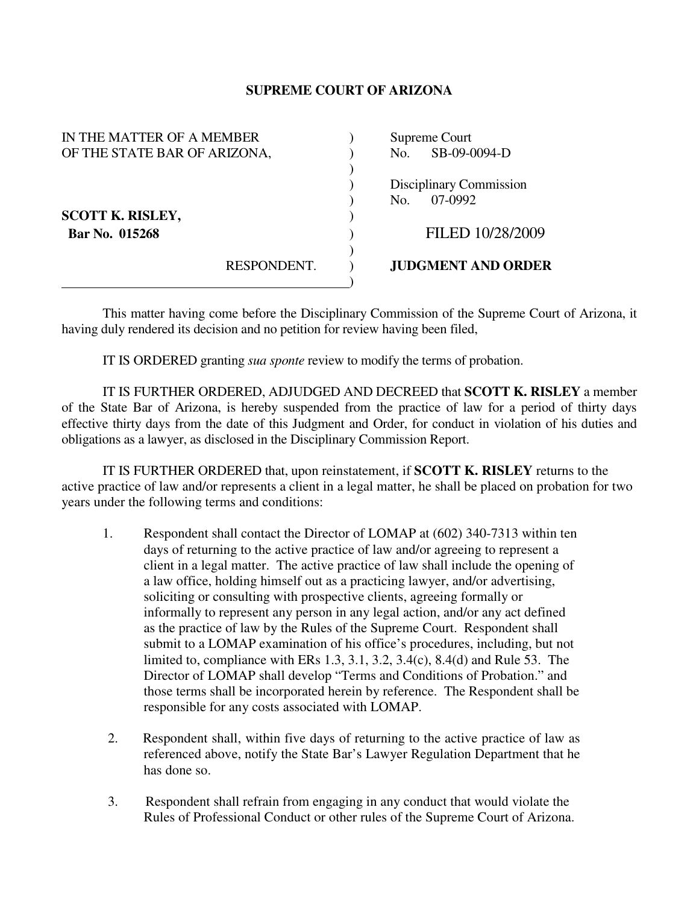## **SUPREME COURT OF ARIZONA**

| IN THE MATTER OF A MEMBER    |             | Supreme Court             |  |
|------------------------------|-------------|---------------------------|--|
| OF THE STATE BAR OF ARIZONA, |             | SB-09-0094-D<br>No.       |  |
|                              |             |                           |  |
|                              |             | Disciplinary Commission   |  |
|                              |             | 07-0992<br>No.            |  |
| <b>SCOTT K. RISLEY,</b>      |             |                           |  |
| Bar No. 015268               |             | FILED 10/28/2009          |  |
|                              |             |                           |  |
|                              | RESPONDENT. | <b>JUDGMENT AND ORDER</b> |  |
|                              |             |                           |  |

 This matter having come before the Disciplinary Commission of the Supreme Court of Arizona, it having duly rendered its decision and no petition for review having been filed,

IT IS ORDERED granting *sua sponte* review to modify the terms of probation.

 IT IS FURTHER ORDERED, ADJUDGED AND DECREED that **SCOTT K. RISLEY** a member of the State Bar of Arizona, is hereby suspended from the practice of law for a period of thirty days effective thirty days from the date of this Judgment and Order, for conduct in violation of his duties and obligations as a lawyer, as disclosed in the Disciplinary Commission Report.

 IT IS FURTHER ORDERED that, upon reinstatement, if **SCOTT K. RISLEY** returns to the active practice of law and/or represents a client in a legal matter, he shall be placed on probation for two years under the following terms and conditions:

- 1. Respondent shall contact the Director of LOMAP at (602) 340-7313 within ten days of returning to the active practice of law and/or agreeing to represent a client in a legal matter. The active practice of law shall include the opening of a law office, holding himself out as a practicing lawyer, and/or advertising, soliciting or consulting with prospective clients, agreeing formally or informally to represent any person in any legal action, and/or any act defined as the practice of law by the Rules of the Supreme Court. Respondent shall submit to a LOMAP examination of his office's procedures, including, but not limited to, compliance with ERs 1.3, 3.1, 3.2, 3.4(c), 8.4(d) and Rule 53. The Director of LOMAP shall develop "Terms and Conditions of Probation." and those terms shall be incorporated herein by reference. The Respondent shall be responsible for any costs associated with LOMAP.
- 2. Respondent shall, within five days of returning to the active practice of law as referenced above, notify the State Bar's Lawyer Regulation Department that he has done so.
- 3. Respondent shall refrain from engaging in any conduct that would violate the Rules of Professional Conduct or other rules of the Supreme Court of Arizona.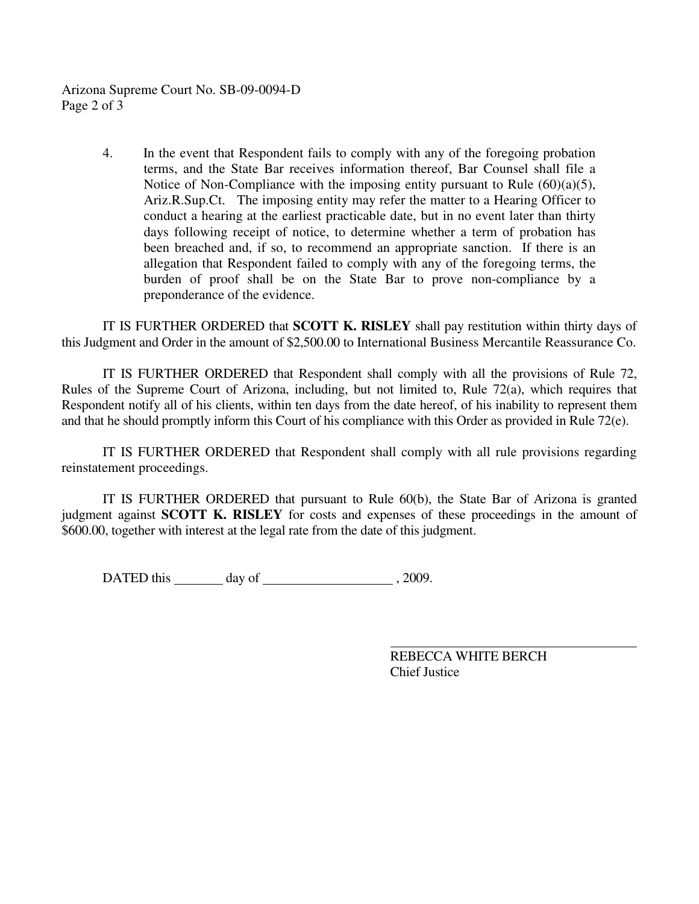Arizona Supreme Court No. SB-09-0094-D Page 2 of 3

> 4. In the event that Respondent fails to comply with any of the foregoing probation terms, and the State Bar receives information thereof, Bar Counsel shall file a Notice of Non-Compliance with the imposing entity pursuant to Rule  $(60)(a)(5)$ , Ariz.R.Sup.Ct. The imposing entity may refer the matter to a Hearing Officer to conduct a hearing at the earliest practicable date, but in no event later than thirty days following receipt of notice, to determine whether a term of probation has been breached and, if so, to recommend an appropriate sanction. If there is an allegation that Respondent failed to comply with any of the foregoing terms, the burden of proof shall be on the State Bar to prove non-compliance by a preponderance of the evidence.

 IT IS FURTHER ORDERED that **SCOTT K. RISLEY** shall pay restitution within thirty days of this Judgment and Order in the amount of \$2,500.00 to International Business Mercantile Reassurance Co.

 IT IS FURTHER ORDERED that Respondent shall comply with all the provisions of Rule 72, Rules of the Supreme Court of Arizona, including, but not limited to, Rule 72(a), which requires that Respondent notify all of his clients, within ten days from the date hereof, of his inability to represent them and that he should promptly inform this Court of his compliance with this Order as provided in Rule 72(e).

 IT IS FURTHER ORDERED that Respondent shall comply with all rule provisions regarding reinstatement proceedings.

 IT IS FURTHER ORDERED that pursuant to Rule 60(b), the State Bar of Arizona is granted judgment against **SCOTT K. RISLEY** for costs and expenses of these proceedings in the amount of \$600.00, together with interest at the legal rate from the date of this judgment.

DATED this day of , 2009.

 REBECCA WHITE BERCH Chief Justice